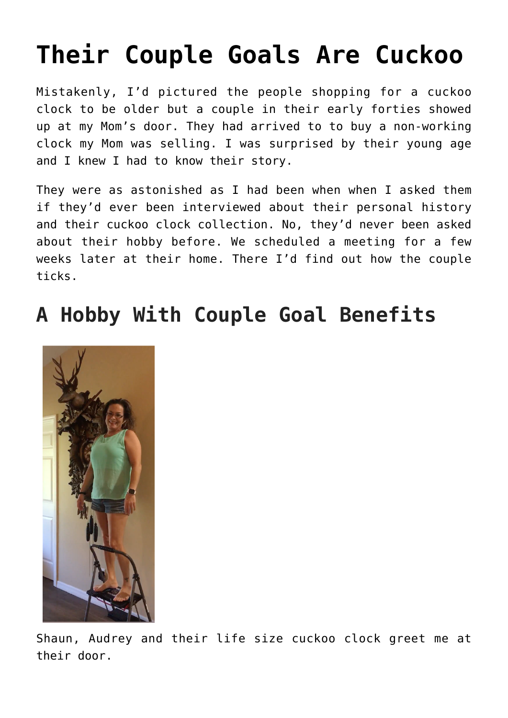# **[Their Couple Goals Are Cuckoo](https://mybeautifullifestory.com/their-couple-goals-are-cuckoo/)**

Mistakenly, I'd pictured the people shopping for a cuckoo clock to be older but a couple in their early forties showed up at my Mom's door. They had arrived to to buy a non-working clock my Mom was selling. I was surprised by their young age and I knew I had to know their story.

They were as astonished as I had been when when I asked them if they'd ever been interviewed about their personal history and their cuckoo clock collection. No, they'd never been asked about their hobby before. We scheduled a meeting for a few weeks later at their home. There I'd find out how the couple ticks.

# **A Hobby With Couple Goal Benefits**



Shaun, Audrey and their life size cuckoo clock greet me at their door.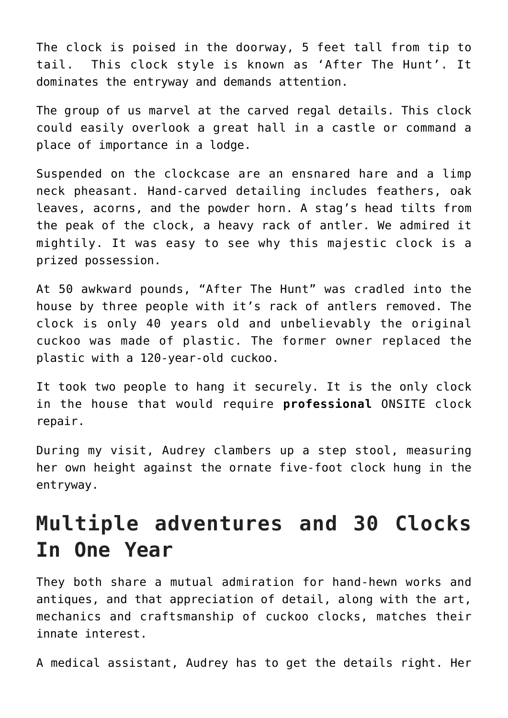The clock is poised in the doorway, 5 feet tall from tip to tail. This clock style is known as 'After The Hunt'. It dominates the entryway and demands attention.

The group of us marvel at the carved regal details. This clock could easily overlook a great hall in a castle or command a place of importance in a lodge.

Suspended on the clockcase are an ensnared hare and a limp neck pheasant. Hand-carved detailing includes feathers, oak leaves, acorns, and the powder horn. A stag's head tilts from the peak of the clock, a heavy rack of antler. We admired it mightily. It was easy to see why this majestic clock is a prized possession.

At 50 awkward pounds, "After The Hunt" was cradled into the house by three people with it's rack of antlers removed. The clock is only 40 years old and unbelievably the original cuckoo was made of plastic. The former owner replaced the plastic with a 120-year-old cuckoo.

It took two people to hang it securely. It is the only clock in the house that would require **professional** ONSITE clock repair.

During my visit, Audrey clambers up a step stool, measuring her own height against the ornate five-foot clock hung in the entryway.

### **Multiple adventures and 30 Clocks In One Year**

They both share a mutual admiration for hand-hewn works and antiques, and that appreciation of detail, along with the art, mechanics and craftsmanship of cuckoo clocks, matches their innate interest.

A medical assistant, Audrey has to get the details right. Her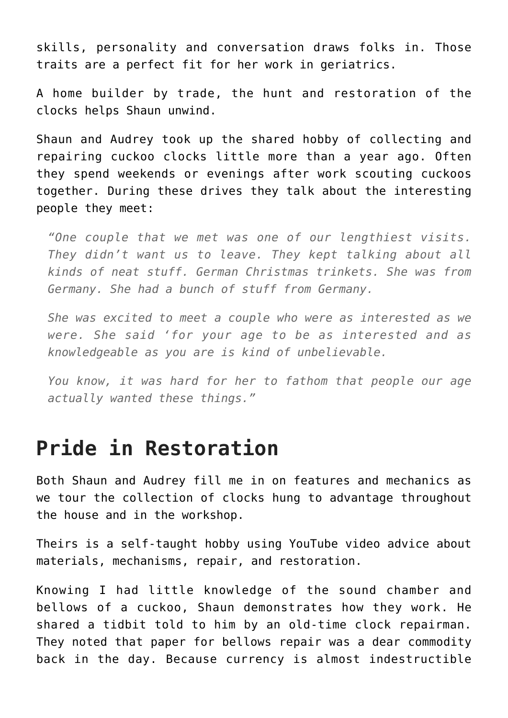skills, personality and conversation draws folks in. Those traits are a perfect fit for her work in geriatrics.

A home builder by trade, the hunt and restoration of the clocks helps Shaun unwind.

Shaun and Audrey took up the shared hobby of collecting and repairing cuckoo clocks little more than a year ago. Often they spend weekends or evenings after work scouting cuckoos together. During these drives they talk about the interesting people they meet:

*"One couple that we met was one of our lengthiest visits. They didn't want us to leave. They kept talking about all kinds of neat stuff. German Christmas trinkets. She was from Germany. She had a bunch of stuff from Germany.*

*She was excited to meet a couple who were as interested as we were. She said 'for your age to be as interested and as knowledgeable as you are is kind of unbelievable.*

*You know, it was hard for her to fathom that people our age actually wanted these things."*

#### **Pride in Restoration**

Both Shaun and Audrey fill me in on features and mechanics as we tour the collection of clocks hung to advantage throughout the house and in the workshop.

Theirs is a self-taught hobby using YouTube video advice about materials, mechanisms, repair, and restoration.

Knowing I had little knowledge of the sound chamber and bellows of a cuckoo, Shaun demonstrates how they work. He shared a tidbit told to him by an old-time clock repairman. They noted that paper for bellows repair was a dear commodity back in the day. Because currency is almost indestructible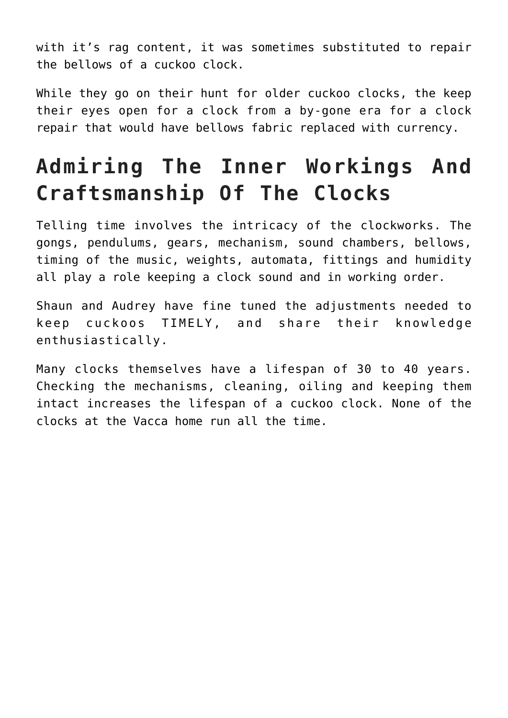with it's rag content, it was sometimes substituted to repair the bellows of a cuckoo clock.

While they go on their hunt for older cuckoo clocks, the keep their eyes open for a clock from a by-gone era for a clock repair that would have bellows fabric replaced with currency.

# **Admiring The Inner Workings And Craftsmanship Of The Clocks**

Telling time involves the intricacy of the clockworks. The gongs, pendulums, gears, mechanism, sound chambers, bellows, timing of the music, weights, automata, fittings and humidity all play a role keeping a clock sound and in working order.

Shaun and Audrey have fine tuned the adjustments needed to keep cuckoos TIMELY, and share their knowledge enthusiastically.

Many clocks themselves have a lifespan of 30 to 40 years. Checking the mechanisms, cleaning, oiling and keeping them intact increases the lifespan of a cuckoo clock. None of the clocks at the Vacca home run all the time.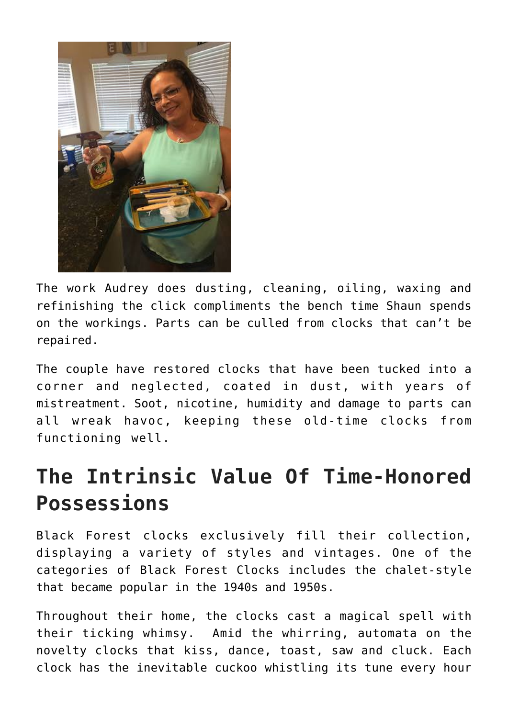

The work Audrey does dusting, cleaning, oiling, waxing and refinishing the click compliments the bench time Shaun spends on the workings. Parts can be culled from clocks that can't be repaired.

The couple have restored clocks that have been tucked into a corner and neglected, coated in dust, with years of mistreatment. Soot, nicotine, humidity and damage to parts can all wreak havoc, keeping these old-time clocks from functioning well.

## **The Intrinsic Value Of Time-Honored Possessions**

Black Forest clocks exclusively fill their collection, displaying a variety of styles and vintages. One of the categories of Black Forest Clocks includes the chalet-style that became popular in the 1940s and 1950s.

Throughout their home, the clocks cast a magical spell with their ticking whimsy. Amid the whirring, automata on the novelty clocks that kiss, dance, toast, saw and cluck. Each clock has the inevitable cuckoo whistling its tune every hour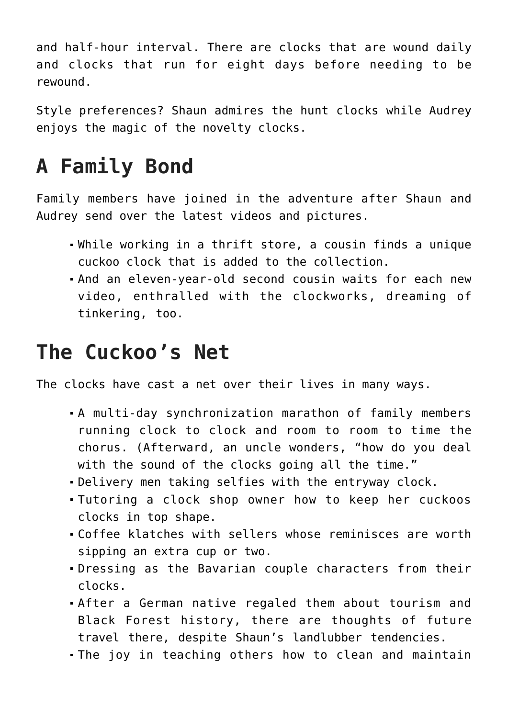and half-hour interval. There are clocks that are wound daily and clocks that run for eight days before needing to be rewound.

Style preferences? Shaun admires the hunt clocks while Audrey enjoys the magic of the novelty clocks.

## **A Family Bond**

Family members have joined in the adventure after Shaun and Audrey send over the latest videos and pictures.

- While working in a thrift store, a cousin finds a unique cuckoo clock that is added to the collection.
- And an eleven-year-old second cousin waits for each new video, enthralled with the clockworks, dreaming of tinkering, too.

### **The Cuckoo's Net**

The clocks have cast a net over their lives in many ways.

- A multi-day synchronization marathon of family members running clock to clock and room to room to time the chorus. (Afterward, an uncle wonders, "how do you deal with the sound of the clocks going all the time."
- Delivery men taking selfies with the entryway clock.
- Tutoring a clock shop owner how to keep her cuckoos clocks in top shape.
- Coffee klatches with sellers whose reminisces are worth sipping an extra cup or two.
- Dressing as the Bavarian couple characters from their clocks.
- After a German native regaled them about tourism and Black Forest history, there are thoughts of future travel there, despite Shaun's landlubber tendencies.
- The joy in teaching others how to clean and maintain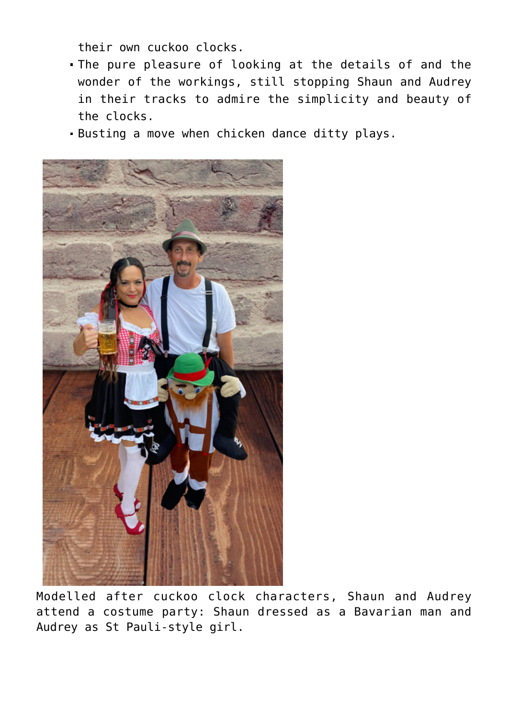their own cuckoo clocks.

- The pure pleasure of looking at the details of and the wonder of the workings, still stopping Shaun and Audrey in their tracks to admire the simplicity and beauty of the clocks.
- Busting a move when chicken dance ditty plays.



Modelled after cuckoo clock characters, Shaun and Audrey attend a costume party: Shaun dressed as a Bavarian man and Audrey as St Pauli-style girl.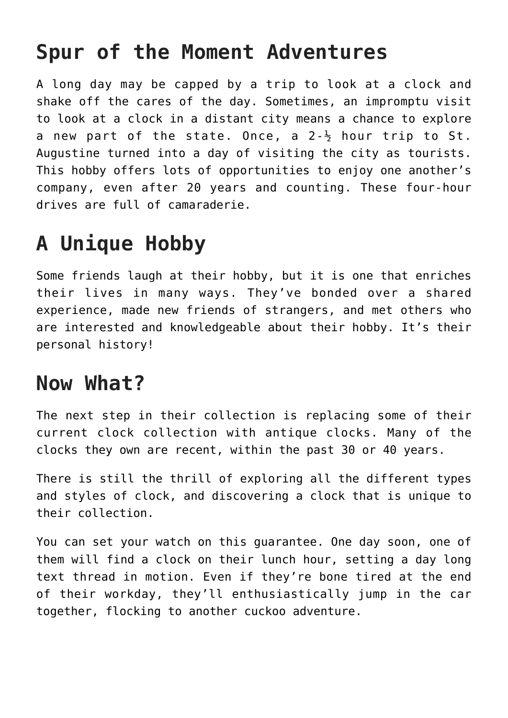### **Spur of the Moment Adventures**

A long day may be capped by a trip to look at a clock and shake off the cares of the day. Sometimes, an impromptu visit to look at a clock in a distant city means a chance to explore a new part of the state. Once, a  $2-\frac{1}{2}$  hour trip to St. Augustine turned into a day of visiting the city as tourists. This hobby offers lots of opportunities to enjoy one another's company, even after 20 years and counting. These four-hour drives are full of camaraderie.

# **A Unique Hobby**

Some friends laugh at their hobby, but it is one that enriches their lives in many ways. They've bonded over a shared experience, made new friends of strangers, and met others who are interested and knowledgeable about their hobby. It's their personal history!

#### **Now What?**

The next step in their collection is replacing some of their current clock collection with antique clocks. Many of the clocks they own are recent, within the past 30 or 40 years.

There is still the thrill of exploring all the different types and styles of clock, and discovering a clock that is unique to their collection.

You can set your watch on this guarantee. One day soon, one of them will find a clock on their lunch hour, setting a day long text thread in motion. Even if they're bone tired at the end of their workday, they'll enthusiastically jump in the car together, flocking to another cuckoo adventure.